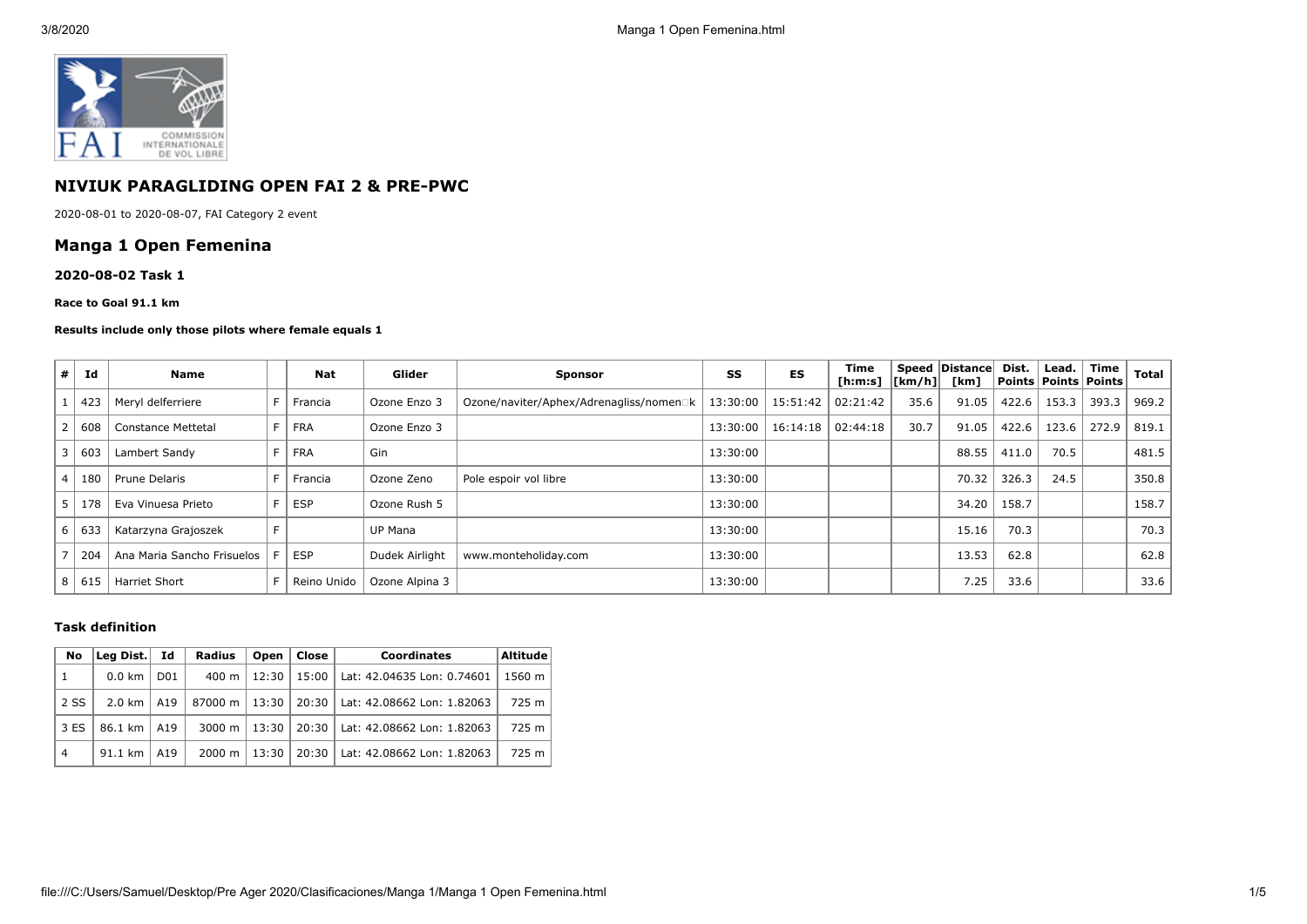

# **NIVIUK PARAGLIDING OPEN FAI 2 & PRE-PWC**

2020-08-01 to 2020-08-07, FAI Category 2 event

## **Manga 1 Open Femenina**

#### **2020-08-02 Task 1**

**Race to Goal 91.1 km**

#### **Results include only those pilots where female equals 1**

| #          | Id  | <b>Name</b>                | <b>Nat</b>  | Glider         | <b>Sponsor</b>                          | SS         | ES                | Time<br>[ h: m: s]   [ km/h] |      | Speed   Distance  <br>[km] | Dist. | Lead.<br><b>Points Points Points</b> | Time  | <b>Total</b> |
|------------|-----|----------------------------|-------------|----------------|-----------------------------------------|------------|-------------------|------------------------------|------|----------------------------|-------|--------------------------------------|-------|--------------|
|            | 423 | Meryl delferriere          | Francia     | Ozone Enzo 3   | Ozone/naviter/Aphex/Adrenagliss/nomen□k | $13:30:00$ | 15:51:42          | 02:21:42                     | 35.6 | 91.05                      | 422.6 | 153.3                                | 393.3 | 969.2        |
|            | 608 | Constance Mettetal         | <b>FRA</b>  | Ozone Enzo 3   |                                         | 13:30:00   | 16:14:18 02:44:18 |                              | 30.7 | 91.05                      | 422.6 | 123.6                                | 272.9 | 819.1        |
|            | 603 | Lambert Sandy              | <b>FRA</b>  | Gin            |                                         | 13:30:00   |                   |                              |      | 88.55                      | 411.0 | 70.5                                 |       | 481.5        |
| $\epsilon$ | 180 | Prune Delaris              | Francia     | Ozone Zeno     | Pole espoir vol libre                   | 13:30:00   |                   |                              |      | 70.32                      | 326.3 | 24.5                                 |       | 350.8        |
|            | 178 | Eva Vinuesa Prieto         | ESP         | Ozone Rush 5   |                                         | 13:30:00   |                   |                              |      | 34.20                      | 158.7 |                                      |       | 158.7        |
| 6          | 633 | Katarzyna Grajoszek        |             | UP Mana        |                                         | 13:30:00   |                   |                              |      | 15.16                      | 70.3  |                                      |       | 70.3         |
|            | 204 | Ana Maria Sancho Frisuelos | <b>ESP</b>  | Dudek Airlight | www.monteholiday.com                    | 13:30:00   |                   |                              |      | 13.53                      | 62.8  |                                      |       | 62.8         |
| 8          | 615 | <b>Harriet Short</b>       | Reino Unido | Ozone Alpina 3 |                                         | 13:30:00   |                   |                              |      | 7.25                       | 33.6  |                                      |       | 33.6         |

### **Task definition**

| No             | Lea Dist.        | Id              | <b>Radius</b>      | Open  | Close | Coordinates                | <b>Altitude</b> |
|----------------|------------------|-----------------|--------------------|-------|-------|----------------------------|-----------------|
| 1              | $0.0 \text{ km}$ | D <sub>01</sub> | 400 m              | 12:30 | 15:00 | Lat: 42.04635 Lon: 0.74601 | 1560 m          |
| 2 SS           | 2.0 km           | A19             | 87000 m            | 13:30 | 20:30 | Lat: 42.08662 Lon: 1.82063 | 725 m           |
| 3 ES           | 86.1 km          | A19             | 3000 m $\vert$     | 13:30 | 20:30 | Lat: 42.08662 Lon: 1.82063 | 725 m           |
| $\overline{4}$ | 91.1 km          | A19             | $2000 \; \text{m}$ | 13:30 | 20:30 | Lat: 42.08662 Lon: 1.82063 | 725 m           |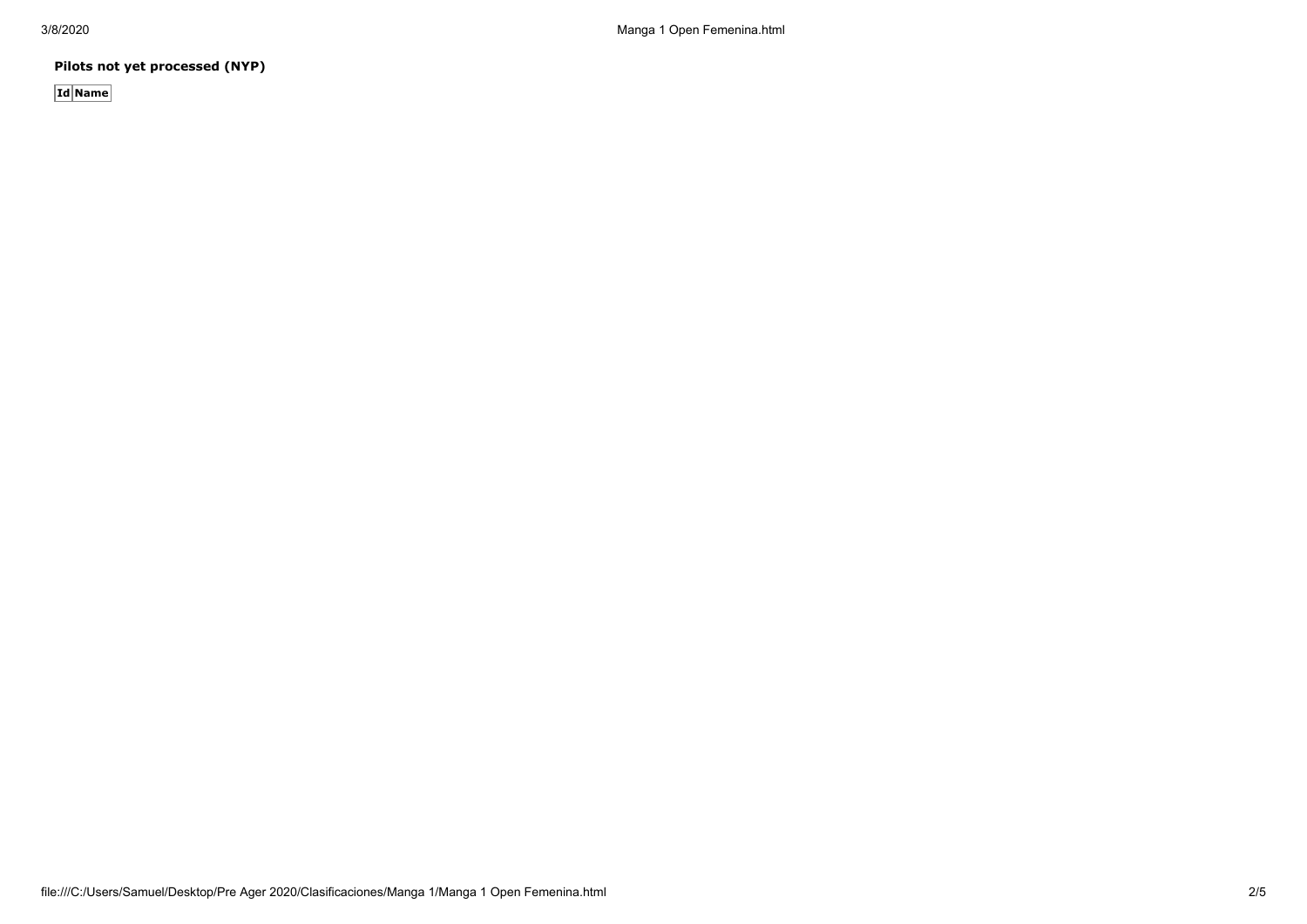**Pilots not yet processed (NYP)**

**Id Name**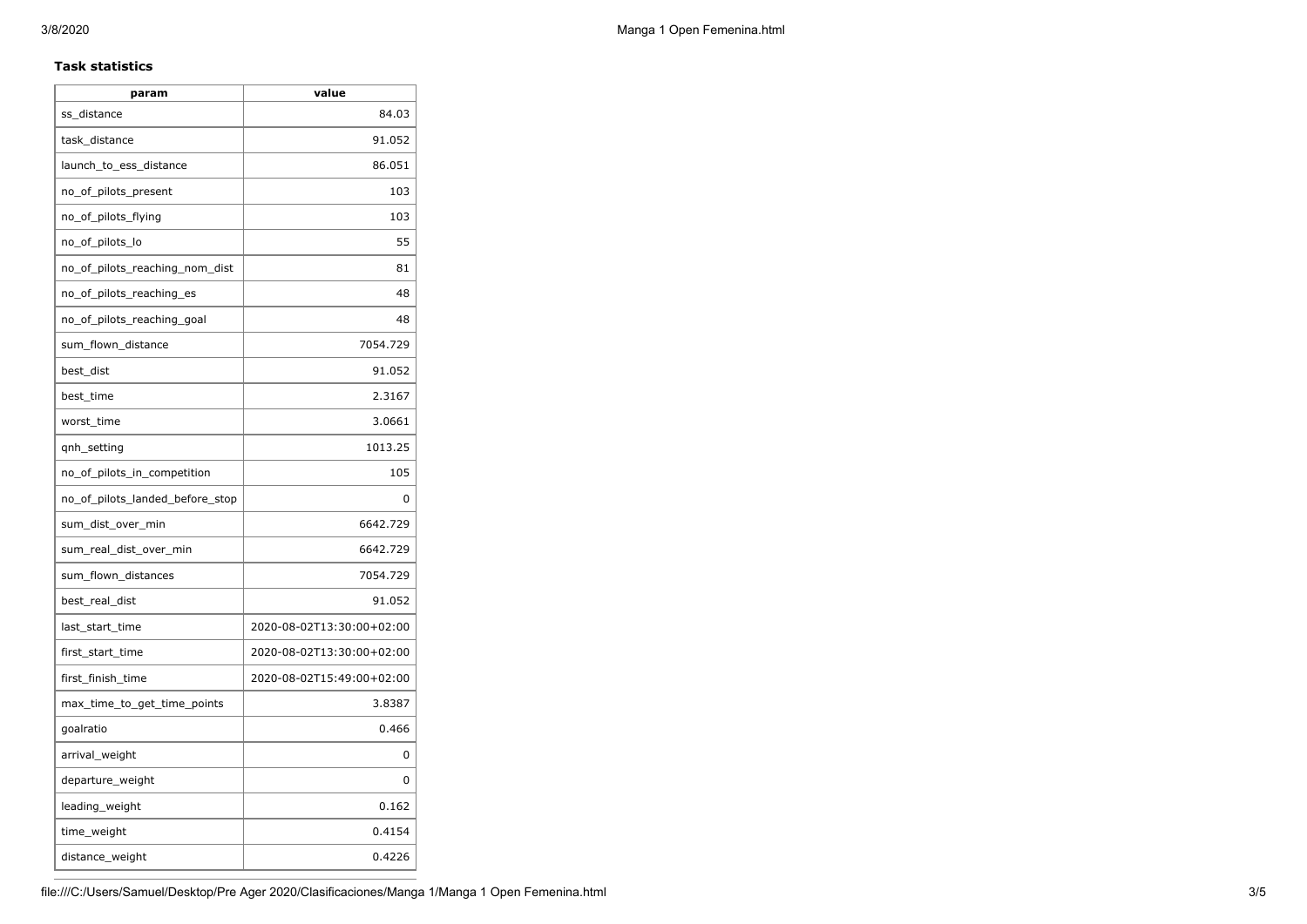### **Task statistics**

| param                           | value                     |
|---------------------------------|---------------------------|
| ss_distance                     | 84.03                     |
| task_distance                   | 91.052                    |
| launch_to_ess_distance          | 86.051                    |
| no_of_pilots_present            | 103                       |
| no_of_pilots_flying             | 103                       |
| no_of_pilots_lo                 | 55                        |
| no_of_pilots_reaching_nom_dist  | 81                        |
| no_of_pilots_reaching_es        | 48                        |
| no_of_pilots_reaching_goal      | 48                        |
| sum_flown_distance              | 7054.729                  |
| best dist                       | 91.052                    |
| best_time                       | 2.3167                    |
| worst_time                      | 3.0661                    |
| qnh_setting                     | 1013.25                   |
| no_of_pilots_in_competition     | 105                       |
| no_of_pilots_landed_before_stop | 0                         |
| sum_dist_over_min               | 6642.729                  |
| sum_real_dist_over_min          | 6642.729                  |
| sum_flown_distances             | 7054.729                  |
| best_real_dist                  | 91.052                    |
| last_start_time                 | 2020-08-02T13:30:00+02:00 |
| first_start_time                | 2020-08-02T13:30:00+02:00 |
| first_finish_time               | 2020-08-02T15:49:00+02:00 |
| max_time_to_get_time_points     | 3.8387                    |
| goalratio                       | 0.466                     |
| arrival_weight                  | 0                         |
| departure_weight                | 0                         |
| leading_weight                  | 0.162                     |
| time_weight                     | 0.4154                    |
| distance_weight                 | 0.4226                    |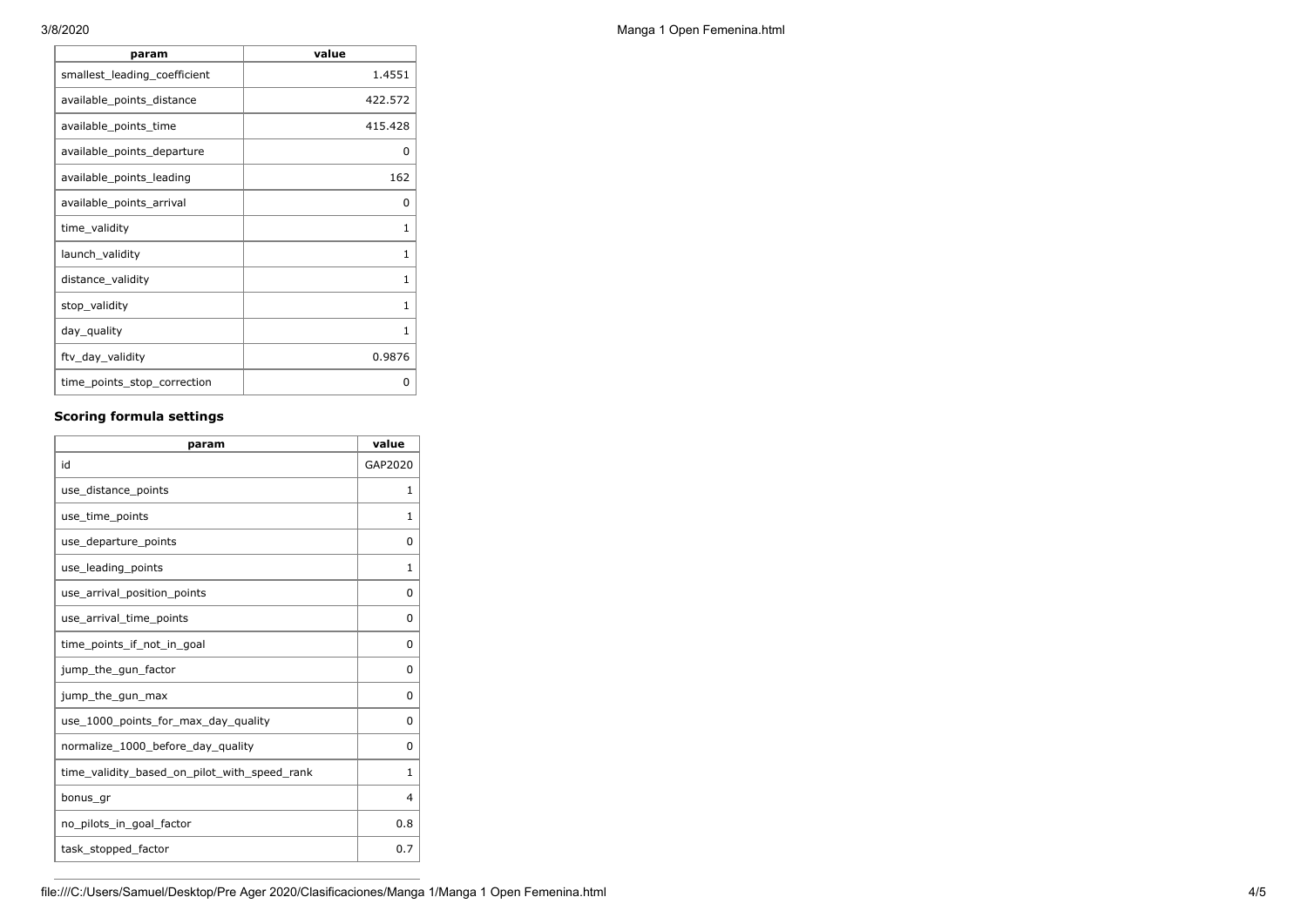| param                        | value   |
|------------------------------|---------|
| smallest_leading_coefficient | 1.4551  |
| available_points_distance    | 422.572 |
| available_points_time        | 415.428 |
| available_points_departure   | 0       |
| available_points_leading     | 162     |
| available_points_arrival     | 0       |
| time_validity                | 1       |
| launch_validity              | 1       |
| distance_validity            | 1       |
| stop_validity                | 1       |
| day_quality                  | 1       |
| ftv_day_validity             | 0.9876  |
| time_points_stop_correction  | O       |

## **Scoring formula settings**

| param                                        | value        |
|----------------------------------------------|--------------|
| id                                           | GAP2020      |
| use_distance_points                          | $\mathbf{1}$ |
| use_time_points                              | 1            |
| use_departure_points                         | 0            |
| use_leading_points                           | 1            |
| use arrival position points                  | 0            |
| use_arrival_time_points                      | 0            |
| time points if not in goal                   | 0            |
| jump_the_gun_factor                          | 0            |
| jump_the_gun_max                             | 0            |
| use 1000 points for max day quality          | 0            |
| normalize_1000_before_day_quality            | 0            |
| time_validity_based_on_pilot_with_speed_rank | 1            |
| bonus_gr                                     | 4            |
| no pilots in goal factor                     | 0.8          |
| task_stopped_factor                          | 0.7          |